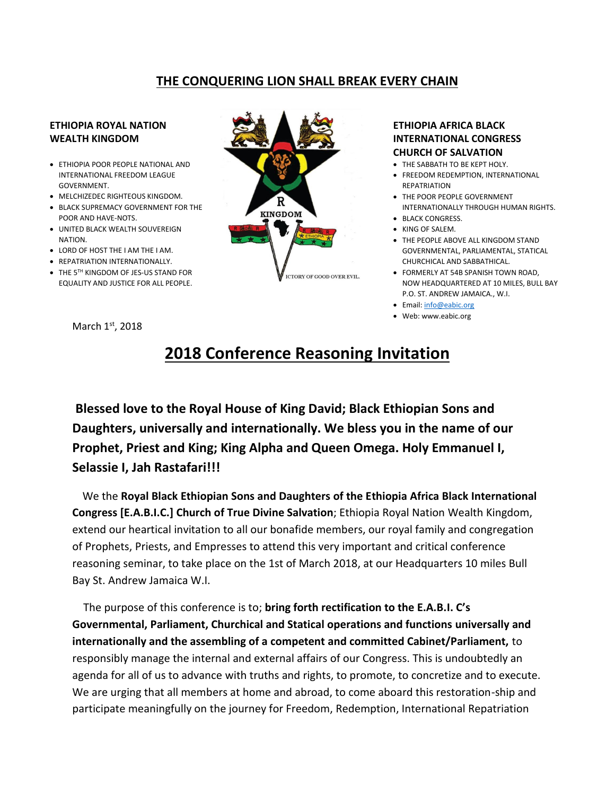## **THE CONQUERING LION SHALL BREAK EVERY CHAIN**

#### **ETHIOPIA ROYAL NATION WEALTH KINGDOM**

- ETHIOPIA POOR PEOPLE NATIONAL AND INTERNATIONAL FREEDOM LEAGUE GOVERNMENT.
- MELCHIZEDEC RIGHTEOUS KINGDOM.
- BLACK SUPREMACY GOVERNMENT FOR THE POOR AND HAVE-NOTS.
- UNITED BLACK WEALTH SOUVEREIGN NATION.
- LORD OF HOST THE I AM THE I AM.
- REPATRIATION INTERNATIONALLY.
- THE 5<sup>TH</sup> KINGDOM OF JES-US STAND FOR EQUALITY AND JUSTICE FOR ALL PEOPLE.

March 1st, 2018



#### **ETHIOPIA AFRICA BLACK INTERNATIONAL CONGRESS CHURCH OF SALVATION**

- THE SABBATH TO BE KEPT HOLY.
- FREEDOM REDEMPTION, INTERNATIONAL REPATRIATION
- THE POOR PEOPLE GOVERNMENT INTERNATIONALLY THROUGH HUMAN RIGHTS.
- **BLACK CONGRESS**
- KING OF SALEM.
- THE PEOPLE ABOVE ALL KINGDOM STAND GOVERNMENTAL, PARLIAMENTAL, STATICAL CHURCHICAL AND SABBATHICAL.
- FORMERLY AT 54B SPANISH TOWN ROAD, NOW HEADQUARTERED AT 10 MILES, BULL BAY P.O. ST. ANDREW JAMAICA., W.I.
- Email[: info@eabic.org](mailto:info@eabic.org)
- Web: www.eabic.org

# **2018 Conference Reasoning Invitation**

**Blessed love to the Royal House of King David; Black Ethiopian Sons and Daughters, universally and internationally. We bless you in the name of our Prophet, Priest and King; King Alpha and Queen Omega. Holy Emmanuel I, Selassie I, Jah Rastafari!!!**

 We the **Royal Black Ethiopian Sons and Daughters of the Ethiopia Africa Black International Congress [E.A.B.I.C.] Church of True Divine Salvation**; Ethiopia Royal Nation Wealth Kingdom, extend our heartical invitation to all our bonafide members, our royal family and congregation of Prophets, Priests, and Empresses to attend this very important and critical conference reasoning seminar, to take place on the 1st of March 2018, at our Headquarters 10 miles Bull Bay St. Andrew Jamaica W.I.

 The purpose of this conference is to; **bring forth rectification to the E.A.B.I. C's Governmental, Parliament, Churchical and Statical operations and functions universally and internationally and the assembling of a competent and committed Cabinet/Parliament,** to responsibly manage the internal and external affairs of our Congress. This is undoubtedly an agenda for all of us to advance with truths and rights, to promote, to concretize and to execute. We are urging that all members at home and abroad, to come aboard this restoration-ship and participate meaningfully on the journey for Freedom, Redemption, International Repatriation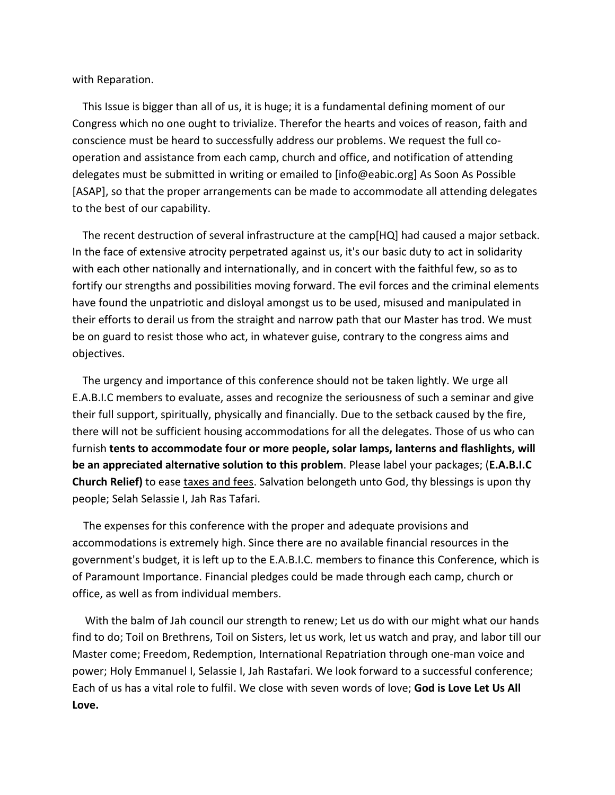with Reparation.

 This Issue is bigger than all of us, it is huge; it is a fundamental defining moment of our Congress which no one ought to trivialize. Therefor the hearts and voices of reason, faith and conscience must be heard to successfully address our problems. We request the full cooperation and assistance from each camp, church and office, and notification of attending delegates must be submitted in writing or emailed to [info@eabic.org] As Soon As Possible [ASAP], so that the proper arrangements can be made to accommodate all attending delegates to the best of our capability.

 The recent destruction of several infrastructure at the camp[HQ] had caused a major setback. In the face of extensive atrocity perpetrated against us, it's our basic duty to act in solidarity with each other nationally and internationally, and in concert with the faithful few, so as to fortify our strengths and possibilities moving forward. The evil forces and the criminal elements have found the unpatriotic and disloyal amongst us to be used, misused and manipulated in their efforts to derail us from the straight and narrow path that our Master has trod. We must be on guard to resist those who act, in whatever guise, contrary to the congress aims and objectives.

 The urgency and importance of this conference should not be taken lightly. We urge all E.A.B.I.C members to evaluate, asses and recognize the seriousness of such a seminar and give their full support, spiritually, physically and financially. Due to the setback caused by the fire, there will not be sufficient housing accommodations for all the delegates. Those of us who can furnish **tents to accommodate four or more people, solar lamps, lanterns and flashlights, will be an appreciated alternative solution to this problem**. Please label your packages; (**E.A.B.I.C Church Relief)** to ease taxes and fees. Salvation belongeth unto God, thy blessings is upon thy people; Selah Selassie I, Jah Ras Tafari.

 The expenses for this conference with the proper and adequate provisions and accommodations is extremely high. Since there are no available financial resources in the government's budget, it is left up to the E.A.B.I.C. members to finance this Conference, which is of Paramount Importance. Financial pledges could be made through each camp, church or office, as well as from individual members.

 With the balm of Jah council our strength to renew; Let us do with our might what our hands find to do; Toil on Brethrens, Toil on Sisters, let us work, let us watch and pray, and labor till our Master come; Freedom, Redemption, International Repatriation through one-man voice and power; Holy Emmanuel I, Selassie I, Jah Rastafari. We look forward to a successful conference; Each of us has a vital role to fulfil. We close with seven words of love; **God is Love Let Us All Love.**